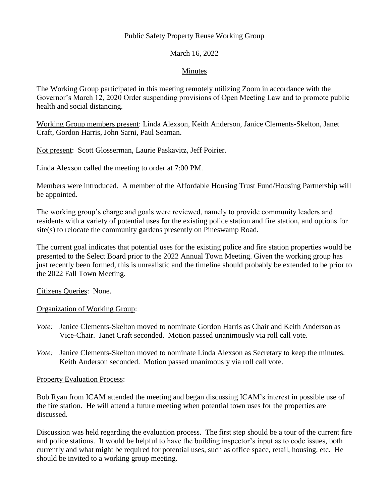## Public Safety Property Reuse Working Group

## March 16, 2022

### Minutes

The Working Group participated in this meeting remotely utilizing Zoom in accordance with the Governor's March 12, 2020 Order suspending provisions of Open Meeting Law and to promote public health and social distancing.

Working Group members present: Linda Alexson, Keith Anderson, Janice Clements-Skelton, Janet Craft, Gordon Harris, John Sarni, Paul Seaman.

Not present: Scott Glosserman, Laurie Paskavitz, Jeff Poirier.

Linda Alexson called the meeting to order at 7:00 PM.

Members were introduced. A member of the Affordable Housing Trust Fund/Housing Partnership will be appointed.

The working group's charge and goals were reviewed, namely to provide community leaders and residents with a variety of potential uses for the existing police station and fire station, and options for site(s) to relocate the community gardens presently on Pineswamp Road.

The current goal indicates that potential uses for the existing police and fire station properties would be presented to the Select Board prior to the 2022 Annual Town Meeting. Given the working group has just recently been formed, this is unrealistic and the timeline should probably be extended to be prior to the 2022 Fall Town Meeting.

Citizens Queries: None.

#### Organization of Working Group:

- *Vote:* Janice Clements-Skelton moved to nominate Gordon Harris as Chair and Keith Anderson as Vice-Chair. Janet Craft seconded. Motion passed unanimously via roll call vote.
- *Vote:* Janice Clements-Skelton moved to nominate Linda Alexson as Secretary to keep the minutes. Keith Anderson seconded. Motion passed unanimously via roll call vote.

Property Evaluation Process:

Bob Ryan from ICAM attended the meeting and began discussing ICAM's interest in possible use of the fire station. He will attend a future meeting when potential town uses for the properties are discussed.

Discussion was held regarding the evaluation process. The first step should be a tour of the current fire and police stations. It would be helpful to have the building inspector's input as to code issues, both currently and what might be required for potential uses, such as office space, retail, housing, etc. He should be invited to a working group meeting.